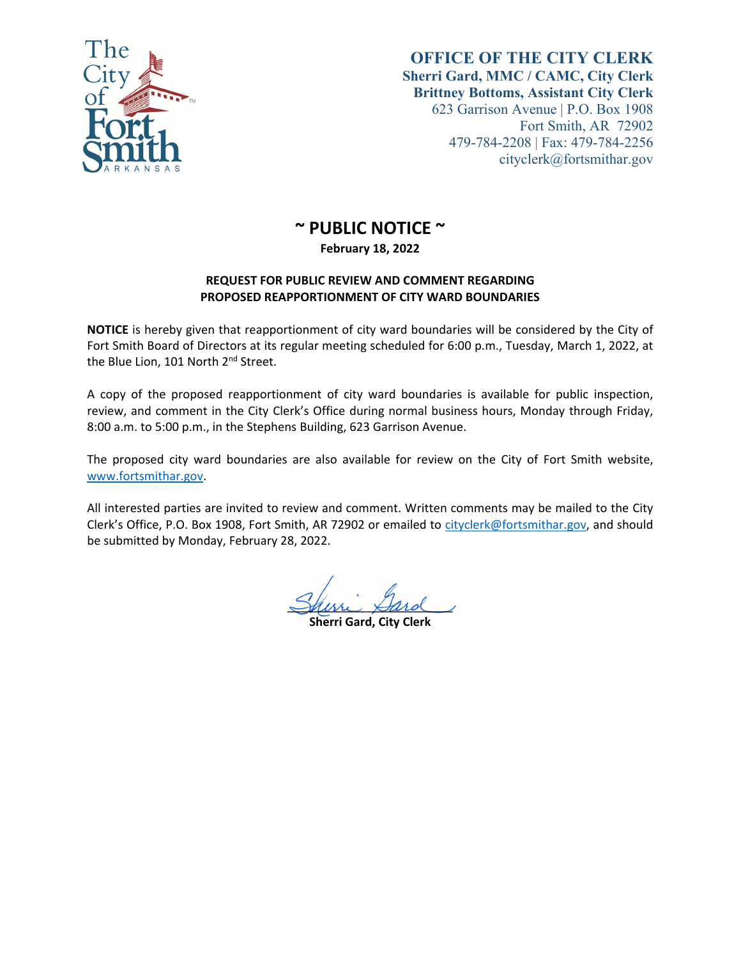

## **OFFICE OF THE CITY CLERK Sherri Gard, MMC / CAMC, City Clerk Brittney Bottoms, Assistant City Clerk** 623 Garrison Avenue | P.O. Box 1908 Fort Smith, AR 72902 479-784-2208 | Fax: 479-784-2256 cityclerk@fortsmithar.gov

## **~ PUBLIC NOTICE ~**

**February 18, 2022**

## **REQUEST FOR PUBLIC REVIEW AND COMMENT REGARDING PROPOSED REAPPORTIONMENT OF CITY WARD BOUNDARIES**

**NOTICE** is hereby given that reapportionment of city ward boundaries will be considered by the City of Fort Smith Board of Directors at its regular meeting scheduled for 6:00 p.m., Tuesday, March 1, 2022, at the Blue Lion, 101 North 2<sup>nd</sup> Street.

A copy of the proposed reapportionment of city ward boundaries is available for public inspection, review, and comment in the City Clerk's Office during normal business hours, Monday through Friday, 8:00 a.m. to 5:00 p.m., in the Stephens Building, 623 Garrison Avenue.

The proposed city ward boundaries are also available for review on the City of Fort Smith website, www.fortsmithar.gov.

All interested parties are invited to review and comment. Written comments may be mailed to the City Clerk's Office, P.O. Box 1908, Fort Smith, AR 72902 or emailed to cityclerk@fortsmithar.gov, and should be submitted by Monday, February 28, 2022.

Shim Sard

**Sherri Gard, City Clerk**